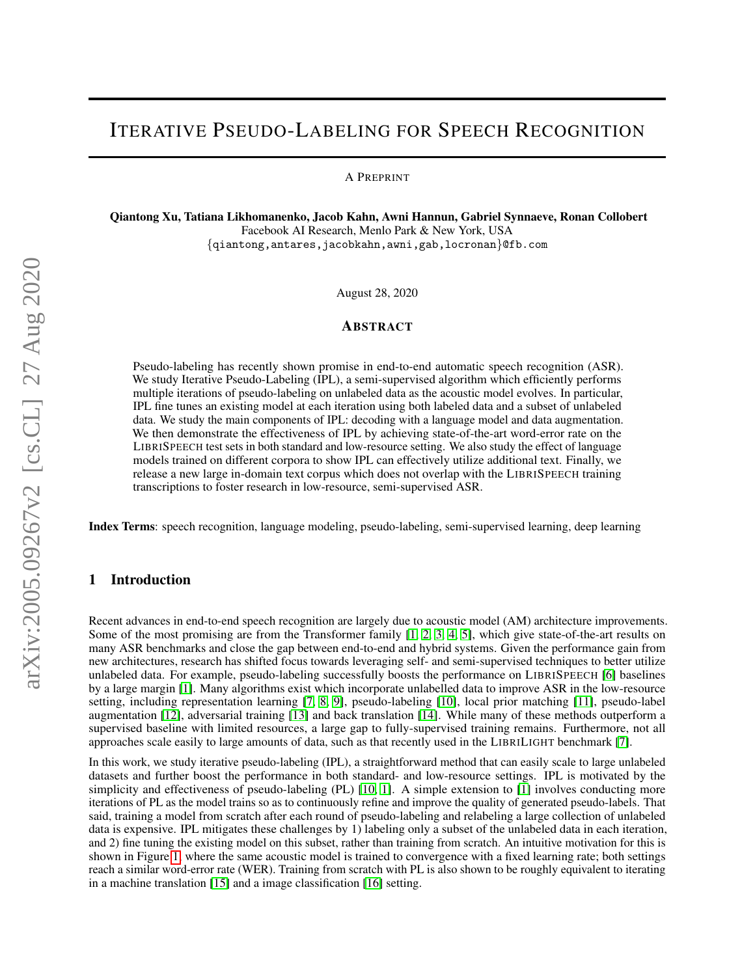# ITERATIVE PSEUDO-LABELING FOR SPEECH RECOGNITION

A PREPRINT

Qiantong Xu, Tatiana Likhomanenko, Jacob Kahn, Awni Hannun, Gabriel Synnaeve, Ronan Collobert Facebook AI Research, Menlo Park & New York, USA {qiantong,antares,jacobkahn,awni,gab,locronan}@fb.com

August 28, 2020

## ABSTRACT

Pseudo-labeling has recently shown promise in end-to-end automatic speech recognition (ASR). We study Iterative Pseudo-Labeling (IPL), a semi-supervised algorithm which efficiently performs multiple iterations of pseudo-labeling on unlabeled data as the acoustic model evolves. In particular, IPL fine tunes an existing model at each iteration using both labeled data and a subset of unlabeled data. We study the main components of IPL: decoding with a language model and data augmentation. We then demonstrate the effectiveness of IPL by achieving state-of-the-art word-error rate on the LIBRISPEECH test sets in both standard and low-resource setting. We also study the effect of language models trained on different corpora to show IPL can effectively utilize additional text. Finally, we release a new large in-domain text corpus which does not overlap with the LIBRISPEECH training transcriptions to foster research in low-resource, semi-supervised ASR.

Index Terms: speech recognition, language modeling, pseudo-labeling, semi-supervised learning, deep learning

# 1 Introduction

Recent advances in end-to-end speech recognition are largely due to acoustic model (AM) architecture improvements. Some of the most promising are from the Transformer family [\[1,](#page-7-0) [2,](#page-7-1) [3,](#page-7-2) [4,](#page-7-3) [5\]](#page-7-4), which give state-of-the-art results on many ASR benchmarks and close the gap between end-to-end and hybrid systems. Given the performance gain from new architectures, research has shifted focus towards leveraging self- and semi-supervised techniques to better utilize unlabeled data. For example, pseudo-labeling successfully boosts the performance on LIBRISPEECH [\[6\]](#page-7-5) baselines by a large margin [\[1\]](#page-7-0). Many algorithms exist which incorporate unlabelled data to improve ASR in the low-resource setting, including representation learning [\[7,](#page-7-6) [8,](#page-7-7) [9\]](#page-7-8), pseudo-labeling [\[10\]](#page-7-9), local prior matching [\[11\]](#page-7-10), pseudo-label augmentation [\[12\]](#page-7-11), adversarial training [\[13\]](#page-7-12) and back translation [\[14\]](#page-7-13). While many of these methods outperform a supervised baseline with limited resources, a large gap to fully-supervised training remains. Furthermore, not all approaches scale easily to large amounts of data, such as that recently used in the LIBRILIGHT benchmark [\[7\]](#page-7-6).

In this work, we study iterative pseudo-labeling (IPL), a straightforward method that can easily scale to large unlabeled datasets and further boost the performance in both standard- and low-resource settings. IPL is motivated by the simplicity and effectiveness of pseudo-labeling (PL) [\[10,](#page-7-9) [1\]](#page-7-0). A simple extension to [\[1\]](#page-7-0) involves conducting more iterations of PL as the model trains so as to continuously refine and improve the quality of generated pseudo-labels. That said, training a model from scratch after each round of pseudo-labeling and relabeling a large collection of unlabeled data is expensive. IPL mitigates these challenges by 1) labeling only a subset of the unlabeled data in each iteration, and 2) fine tuning the existing model on this subset, rather than training from scratch. An intuitive motivation for this is shown in Figure [1,](#page-1-0) where the same acoustic model is trained to convergence with a fixed learning rate; both settings reach a similar word-error rate (WER). Training from scratch with PL is also shown to be roughly equivalent to iterating in a machine translation [\[15\]](#page-7-14) and a image classification [\[16\]](#page-7-15) setting.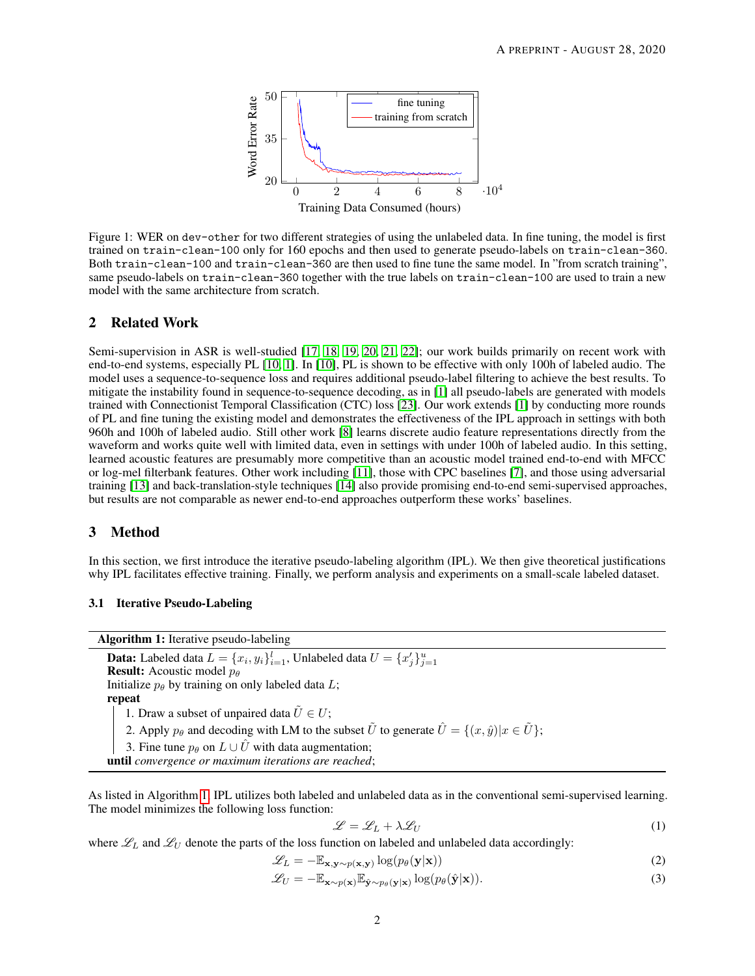

<span id="page-1-0"></span>Figure 1: WER on dev-other for two different strategies of using the unlabeled data. In fine tuning, the model is first trained on train-clean-100 only for 160 epochs and then used to generate pseudo-labels on train-clean-360. Both train-clean-100 and train-clean-360 are then used to fine tune the same model. In "from scratch training", same pseudo-labels on train-clean-360 together with the true labels on train-clean-100 are used to train a new model with the same architecture from scratch.

## 2 Related Work

Semi-supervision in ASR is well-studied [\[17,](#page-7-16) [18,](#page-7-17) [19,](#page-7-18) [20,](#page-7-19) [21,](#page-8-0) [22\]](#page-8-1); our work builds primarily on recent work with end-to-end systems, especially PL [\[10,](#page-7-9) [1\]](#page-7-0). In [\[10\]](#page-7-9), PL is shown to be effective with only 100h of labeled audio. The model uses a sequence-to-sequence loss and requires additional pseudo-label filtering to achieve the best results. To mitigate the instability found in sequence-to-sequence decoding, as in [\[1\]](#page-7-0) all pseudo-labels are generated with models trained with Connectionist Temporal Classification (CTC) loss [\[23\]](#page-8-2). Our work extends [\[1\]](#page-7-0) by conducting more rounds of PL and fine tuning the existing model and demonstrates the effectiveness of the IPL approach in settings with both 960h and 100h of labeled audio. Still other work [\[8\]](#page-7-7) learns discrete audio feature representations directly from the waveform and works quite well with limited data, even in settings with under 100h of labeled audio. In this setting, learned acoustic features are presumably more competitive than an acoustic model trained end-to-end with MFCC or log-mel filterbank features. Other work including [\[11\]](#page-7-10), those with CPC baselines [\[7\]](#page-7-6), and those using adversarial training [\[13\]](#page-7-12) and back-translation-style techniques [\[14\]](#page-7-13) also provide promising end-to-end semi-supervised approaches, but results are not comparable as newer end-to-end approaches outperform these works' baselines.

# 3 Method

In this section, we first introduce the iterative pseudo-labeling algorithm (IPL). We then give theoretical justifications why IPL facilitates effective training. Finally, we perform analysis and experiments on a small-scale labeled dataset.

#### 3.1 Iterative Pseudo-Labeling

Algorithm 1: Iterative pseudo-labeling **Data:** Labeled data  $L = \{x_i, y_i\}_{i=1}^l$ , Unlabeled data  $U = \{x'_j\}_{j=1}^u$ **Result:** Acoustic model  $p_\theta$ Initialize  $p_\theta$  by training on only labeled data L; repeat 1. Draw a subset of unpaired data  $\tilde{U} \in U$ ; 2. Apply  $p_\theta$  and decoding with LM to the subset  $\tilde{U}$  to generate  $\hat{U} = \{(x, \hat{y}) | x \in \tilde{U}\}\;$ ; 3. Fine tune  $p_{\theta}$  on  $L \cup U$  with data augmentation; until *convergence or maximum iterations are reached*;

<span id="page-1-1"></span>As listed in Algorithm [1,](#page-1-1) IPL utilizes both labeled and unlabeled data as in the conventional semi-supervised learning. The model minimizes the following loss function:

<span id="page-1-3"></span><span id="page-1-2"></span>
$$
\mathcal{L} = \mathcal{L}_L + \lambda \mathcal{L}_U \tag{1}
$$

where  $\mathcal{L}_L$  and  $\mathcal{L}_U$  denote the parts of the loss function on labeled and unlabeled data accordingly:

$$
\mathcal{L}_L = -\mathbb{E}_{\mathbf{x}, \mathbf{y} \sim p(\mathbf{x}, \mathbf{y})} \log(p_\theta(\mathbf{y}|\mathbf{x})) \tag{2}
$$

$$
\mathcal{L}_U = -\mathbb{E}_{\mathbf{x} \sim p(\mathbf{x})} \mathbb{E}_{\hat{\mathbf{y}} \sim p_\theta(\mathbf{y}|\mathbf{x})} \log(p_\theta(\hat{\mathbf{y}}|\mathbf{x})).
$$
\n(3)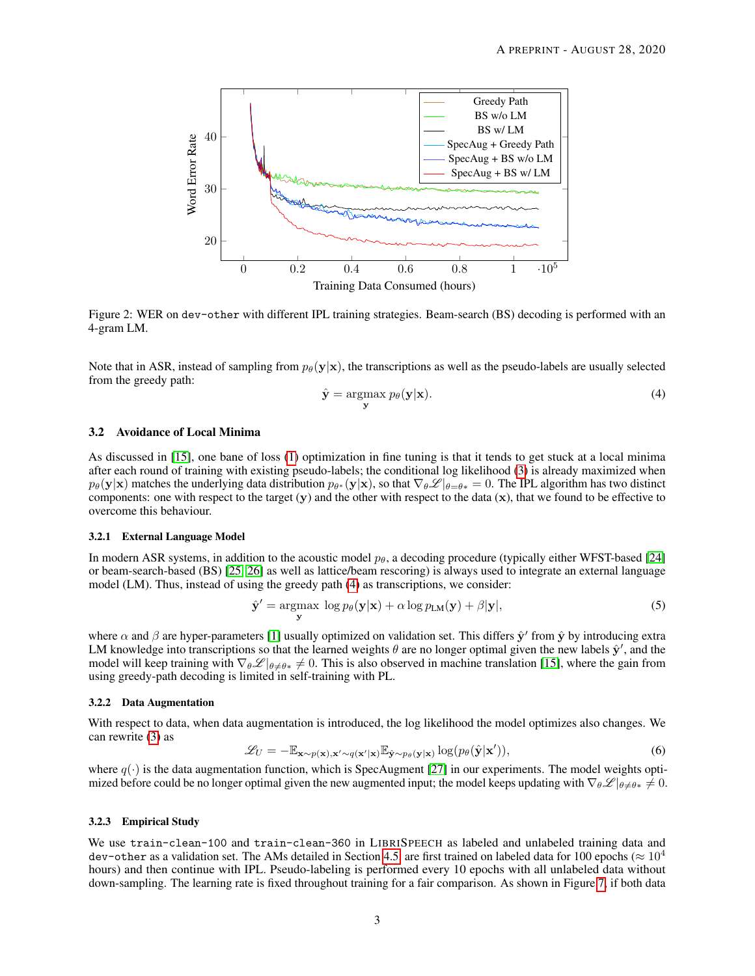

Figure 2: WER on dev-other with different IPL training strategies. Beam-search (BS) decoding is performed with an 4-gram LM.

Note that in ASR, instead of sampling from  $p_{\theta}(\mathbf{y}|\mathbf{x})$ , the transcriptions as well as the pseudo-labels are usually selected from the greedy path:

<span id="page-2-0"></span>
$$
\hat{\mathbf{y}} = \underset{\mathbf{y}}{\operatorname{argmax}} \ p_{\theta}(\mathbf{y}|\mathbf{x}).\tag{4}
$$

#### <span id="page-2-1"></span>3.2 Avoidance of Local Minima

As discussed in [\[15\]](#page-7-14), one bane of loss [\(1\)](#page-1-2) optimization in fine tuning is that it tends to get stuck at a local minima after each round of training with existing pseudo-labels; the conditional log likelihood [\(3\)](#page-1-3) is already maximized when  $p_\theta(\mathbf{y}|\mathbf{x})$  matches the underlying data distribution  $p_{\theta^*}(\mathbf{y}|\mathbf{x})$ , so that  $\nabla_\theta \mathscr{L}|_{\theta=\theta*}=0$ . The IPL algorithm has two distinct components: one with respect to the target  $(y)$  and the other with respect to the data  $(x)$ , that we found to be effective to overcome this behaviour.

#### 3.2.1 External Language Model

In modern ASR systems, in addition to the acoustic model  $p_{\theta}$ , a decoding procedure (typically either WFST-based [\[24\]](#page-8-3) or beam-search-based (BS) [\[25,](#page-8-4) [26\]](#page-8-5) as well as lattice/beam rescoring) is always used to integrate an external language model (LM). Thus, instead of using the greedy path [\(4\)](#page-2-0) as transcriptions, we consider:

$$
\hat{\mathbf{y}}' = \underset{\mathbf{y}}{\operatorname{argmax}} \log p_{\theta}(\mathbf{y}|\mathbf{x}) + \alpha \log p_{LM}(\mathbf{y}) + \beta |\mathbf{y}|,\tag{5}
$$

where  $\alpha$  and  $\beta$  are hyper-parameters [\[1\]](#page-7-0) usually optimized on validation set. This differs  $\hat{y}'$  from  $\hat{y}$  by introducing extra LM knowledge into transcriptions so that the learned weights  $\theta$  are no longer optimal given the new labels  $\hat{y}'$ , and the model will keep training with  $\nabla_{\theta} \mathscr{L}|_{\theta \neq \theta*} \neq 0$ . This is also observed in machine translation [\[15\]](#page-7-14), where the gain from using greedy-path decoding is limited in self-training with PL.

#### 3.2.2 Data Augmentation

With respect to data, when data augmentation is introduced, the log likelihood the model optimizes also changes. We can rewrite [\(3\)](#page-1-3) as

$$
\mathcal{L}_U = -\mathbb{E}_{\mathbf{x} \sim p(\mathbf{x}), \mathbf{x}' \sim q(\mathbf{x}'|\mathbf{x})} \mathbb{E}_{\hat{\mathbf{y}} \sim p_\theta(\mathbf{y}|\mathbf{x})} \log(p_\theta(\hat{\mathbf{y}}|\mathbf{x}')) \tag{6}
$$

where  $q(\cdot)$  is the data augmentation function, which is SpecAugment [\[27\]](#page-8-6) in our experiments. The model weights optimized before could be no longer optimal given the new augmented input; the model keeps updating with  $\nabla_{\theta} \mathscr{L}|_{\theta \neq \theta^*} \neq 0$ .

#### 3.2.3 Empirical Study

We use train-clean-100 and train-clean-360 in LIBRISPEECH as labeled and unlabeled training data and dev-other as a validation set. The AMs detailed in Section [4.5,](#page-5-0) are first trained on labeled data for 100 epochs ( $\approx 10^4$ ) hours) and then continue with IPL. Pseudo-labeling is performed every 10 epochs with all unlabeled data without down-sampling. The learning rate is fixed throughout training for a fair comparison. As shown in Figure [7,](#page-10-0) if both data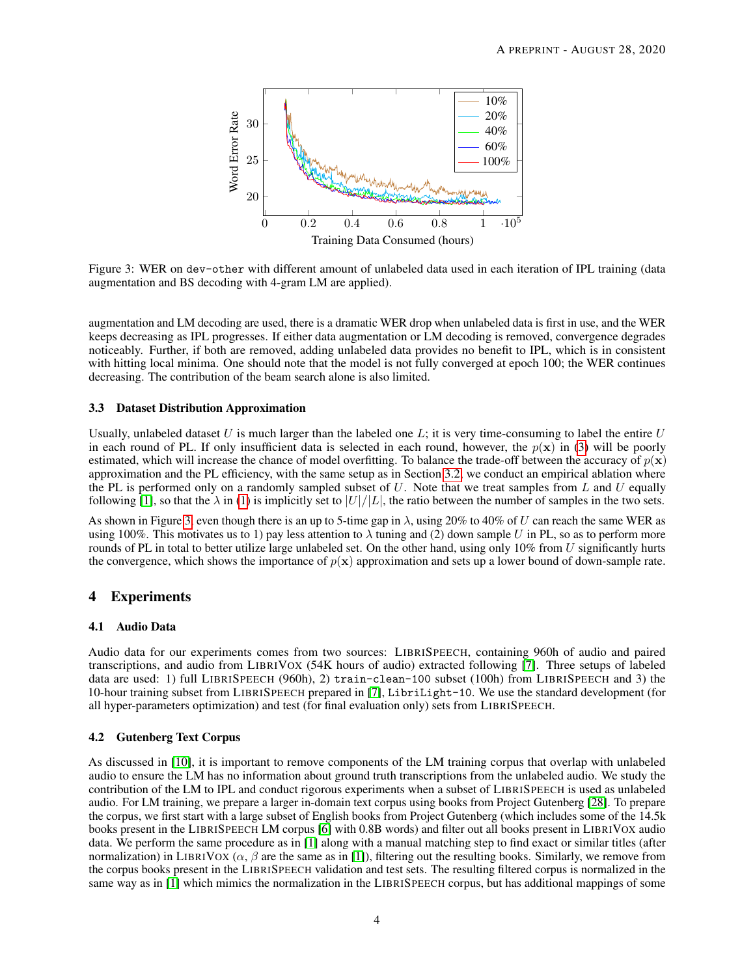

<span id="page-3-0"></span>Figure 3: WER on dev-other with different amount of unlabeled data used in each iteration of IPL training (data augmentation and BS decoding with 4-gram LM are applied).

augmentation and LM decoding are used, there is a dramatic WER drop when unlabeled data is first in use, and the WER keeps decreasing as IPL progresses. If either data augmentation or LM decoding is removed, convergence degrades noticeably. Further, if both are removed, adding unlabeled data provides no benefit to IPL, which is in consistent with hitting local minima. One should note that the model is not fully converged at epoch 100; the WER continues decreasing. The contribution of the beam search alone is also limited.

#### <span id="page-3-1"></span>3.3 Dataset Distribution Approximation

Usually, unlabeled dataset U is much larger than the labeled one  $L$ ; it is very time-consuming to label the entire U in each round of PL. If only insufficient data is selected in each round, however, the  $p(x)$  in [\(3\)](#page-1-3) will be poorly estimated, which will increase the chance of model overfitting. To balance the trade-off between the accuracy of  $p(x)$ approximation and the PL efficiency, with the same setup as in Section [3.2,](#page-2-1) we conduct an empirical ablation where the PL is performed only on a randomly sampled subset of  $U$ . Note that we treat samples from  $L$  and  $U$  equally following [\[1\]](#page-7-0), so that the  $\lambda$  in [\(1\)](#page-1-2) is implicitly set to  $|U|/|L|$ , the ratio between the number of samples in the two sets.

As shown in Figure [3,](#page-3-0) even though there is an up to 5-time gap in  $\lambda$ , using 20% to 40% of U can reach the same WER as using 100%. This motivates us to 1) pay less attention to  $\lambda$  tuning and (2) down sample U in PL, so as to perform more rounds of PL in total to better utilize large unlabeled set. On the other hand, using only  $10\%$  from U significantly hurts the convergence, which shows the importance of  $p(x)$  approximation and sets up a lower bound of down-sample rate.

## 4 Experiments

#### 4.1 Audio Data

Audio data for our experiments comes from two sources: LIBRISPEECH, containing 960h of audio and paired transcriptions, and audio from LIBRIVOX (54K hours of audio) extracted following [\[7\]](#page-7-6). Three setups of labeled data are used: 1) full LIBRISPEECH (960h), 2) train-clean-100 subset (100h) from LIBRISPEECH and 3) the 10-hour training subset from LIBRISPEECH prepared in [\[7\]](#page-7-6), LibriLight-10. We use the standard development (for all hyper-parameters optimization) and test (for final evaluation only) sets from LIBRISPEECH.

#### 4.2 Gutenberg Text Corpus

As discussed in [\[10\]](#page-7-9), it is important to remove components of the LM training corpus that overlap with unlabeled audio to ensure the LM has no information about ground truth transcriptions from the unlabeled audio. We study the contribution of the LM to IPL and conduct rigorous experiments when a subset of LIBRISPEECH is used as unlabeled audio. For LM training, we prepare a larger in-domain text corpus using books from Project Gutenberg [\[28\]](#page-8-7). To prepare the corpus, we first start with a large subset of English books from Project Gutenberg (which includes some of the 14.5k books present in the LIBRISPEECH LM corpus [\[6\]](#page-7-5) with 0.8B words) and filter out all books present in LIBRIVOX audio data. We perform the same procedure as in [\[1\]](#page-7-0) along with a manual matching step to find exact or similar titles (after normalization) in LIBRIVOX ( $\alpha$ ,  $\beta$  are the same as in [\[1\]](#page-7-0)), filtering out the resulting books. Similarly, we remove from the corpus books present in the LIBRISPEECH validation and test sets. The resulting filtered corpus is normalized in the same way as in [\[1\]](#page-7-0) which mimics the normalization in the LIBRISPEECH corpus, but has additional mappings of some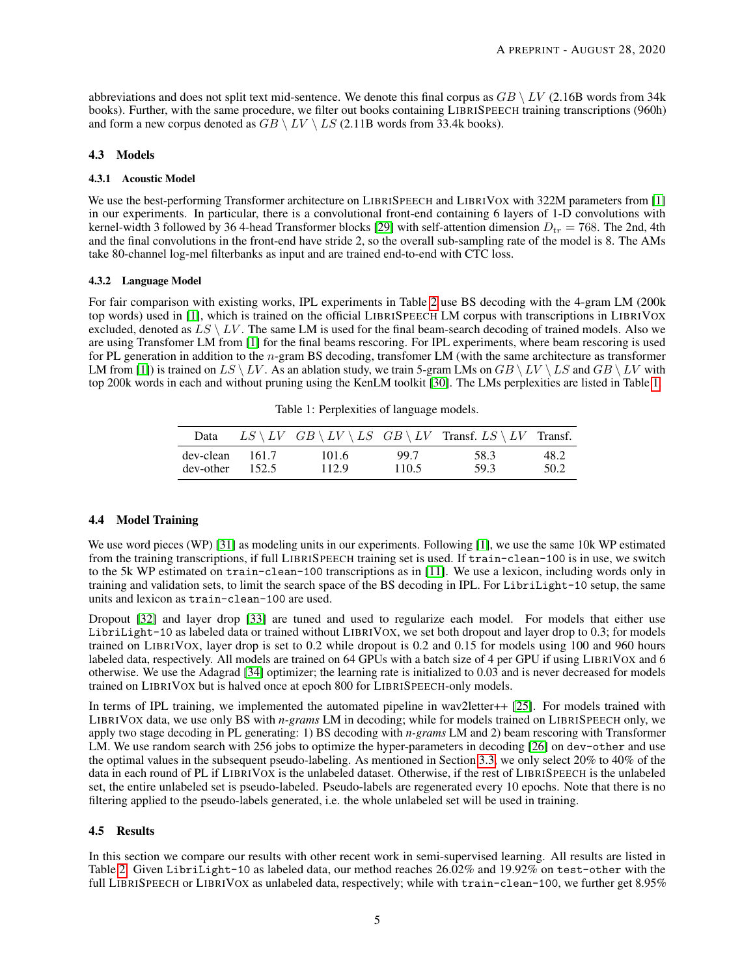abbreviations and does not split text mid-sentence. We denote this final corpus as  $GB \setminus LV$  (2.16B words from 34k books). Further, with the same procedure, we filter out books containing LIBRISPEECH training transcriptions (960h) and form a new corpus denoted as  $GB \setminus LV \setminus LS$  (2.11B words from 33.4k books).

## 4.3 Models

#### 4.3.1 Acoustic Model

We use the best-performing Transformer architecture on LIBRISPEECH and LIBRIVOX with 322M parameters from [\[1\]](#page-7-0) in our experiments. In particular, there is a convolutional front-end containing 6 layers of 1-D convolutions with kernel-width 3 followed by 36 4-head Transformer blocks [\[29\]](#page-8-8) with self-attention dimension  $D_{tr} = 768$ . The 2nd, 4th and the final convolutions in the front-end have stride 2, so the overall sub-sampling rate of the model is 8. The AMs take 80-channel log-mel filterbanks as input and are trained end-to-end with CTC loss.

#### 4.3.2 Language Model

For fair comparison with existing works, IPL experiments in Table [2](#page-5-0) use BS decoding with the 4-gram LM (200k top words) used in [\[1\]](#page-7-0), which is trained on the official LIBRISPEECH LM corpus with transcriptions in LIBRIVOX excluded, denoted as  $LS \setminus LV$ . The same LM is used for the final beam-search decoding of trained models. Also we are using Transfomer LM from [\[1\]](#page-7-0) for the final beams rescoring. For IPL experiments, where beam rescoring is used for PL generation in addition to the n-gram BS decoding, transfomer LM (with the same architecture as transformer LM from [\[1\]](#page-7-0)) is trained on  $LS \setminus LV$ . As an ablation study, we train 5-gram LMs on  $GB \setminus LV \setminus LS$  and  $GB \setminus LV$  with top 200k words in each and without pruning using the KenLM toolkit [\[30\]](#page-8-9). The LMs perplexities are listed in Table [1.](#page-4-0)

<span id="page-4-0"></span>Table 1: Perplexities of language models.

| Data      |        |       |       | $LS \setminus LV$ $GB \setminus LV \setminus LS$ $GB \setminus LV$ Transf. $LS \setminus LV$ Transf. |      |
|-----------|--------|-------|-------|------------------------------------------------------------------------------------------------------|------|
| dev-clean | -161.7 | 101.6 | 99.7  | 58.3                                                                                                 | 48.2 |
| dev-other | 152.5  | 112.9 | 110.5 | 59.3                                                                                                 | 50.2 |

## 4.4 Model Training

We use word pieces (WP) [\[31\]](#page-8-10) as modeling units in our experiments. Following [\[1\]](#page-7-0), we use the same 10k WP estimated from the training transcriptions, if full LIBRISPEECH training set is used. If train-clean-100 is in use, we switch to the 5k WP estimated on train-clean-100 transcriptions as in [\[11\]](#page-7-10). We use a lexicon, including words only in training and validation sets, to limit the search space of the BS decoding in IPL. For LibriLight-10 setup, the same units and lexicon as train-clean-100 are used.

Dropout [\[32\]](#page-8-11) and layer drop [\[33\]](#page-8-12) are tuned and used to regularize each model. For models that either use LibriLight-10 as labeled data or trained without LIBRIVOX, we set both dropout and layer drop to 0.3; for models trained on LIBRIVOX, layer drop is set to 0.2 while dropout is 0.2 and 0.15 for models using 100 and 960 hours labeled data, respectively. All models are trained on 64 GPUs with a batch size of 4 per GPU if using LIBRIVOX and 6 otherwise. We use the Adagrad [\[34\]](#page-8-13) optimizer; the learning rate is initialized to 0.03 and is never decreased for models trained on LIBRIVOX but is halved once at epoch 800 for LIBRISPEECH-only models.

In terms of IPL training, we implemented the automated pipeline in wav2letter++ [\[25\]](#page-8-4). For models trained with LIBRIVOX data, we use only BS with *n-grams* LM in decoding; while for models trained on LIBRISPEECH only, we apply two stage decoding in PL generating: 1) BS decoding with *n-grams* LM and 2) beam rescoring with Transformer LM. We use random search with 256 jobs to optimize the hyper-parameters in decoding [\[26\]](#page-8-5) on dev-other and use the optimal values in the subsequent pseudo-labeling. As mentioned in Section [3.3,](#page-3-1) we only select 20% to 40% of the data in each round of PL if LIBRIVOX is the unlabeled dataset. Otherwise, if the rest of LIBRISPEECH is the unlabeled set, the entire unlabeled set is pseudo-labeled. Pseudo-labels are regenerated every 10 epochs. Note that there is no filtering applied to the pseudo-labels generated, i.e. the whole unlabeled set will be used in training.

## 4.5 Results

In this section we compare our results with other recent work in semi-supervised learning. All results are listed in Table [2.](#page-5-0) Given LibriLight-10 as labeled data, our method reaches 26.02% and 19.92% on test-other with the full LIBRISPEECH or LIBRIVOX as unlabeled data, respectively; while with train-clean-100, we further get 8.95%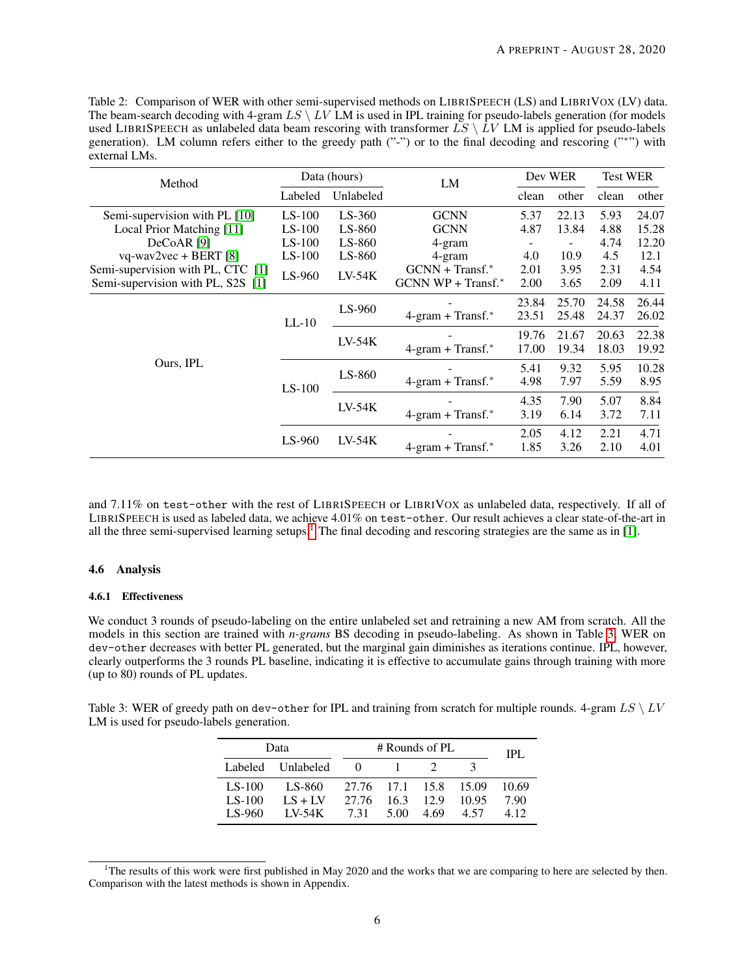<span id="page-5-0"></span>Table 2: Comparison of WER with other semi-supervised methods on LIBRISPEECH (LS) and LIBRIVOX (LV) data. The beam-search decoding with 4-gram  $LS \setminus LV$  LM is used in IPL training for pseudo-labels generation (for models used LIBRISPEECH as unlabeled data beam rescoring with transformer  $\overline{LS} \setminus \overline{LV}$  LM is applied for pseudo-labels generation). LM column refers either to the greedy path ("-") or to the final decoding and rescoring ("\*") with external LMs.

| Method                            | Data (hours)         |                                    | LM                                 | Dev WER |                          | <b>Test WER</b> |       |
|-----------------------------------|----------------------|------------------------------------|------------------------------------|---------|--------------------------|-----------------|-------|
|                                   | Labeled              | Unlabeled                          |                                    | clean   | other                    | clean           | other |
| Semi-supervision with PL [10]     | $LS-100$             | $LS-360$                           | <b>GCNN</b>                        | 5.37    | 22.13                    | 5.93            | 24.07 |
| Local Prior Matching [11]         | $LS-100$             | $LS-860$                           | <b>GCNN</b>                        | 4.87    | 13.84                    | 4.88            | 15.28 |
| DeCoAR <sup>[9]</sup>             | $LS-100$             | LS-860                             | 4-gram                             | ۰       | $\overline{\phantom{a}}$ | 4.74            | 12.20 |
| $vq$ -wav2vec + BERT [8]          | $LS-100$             | LS-860                             | 4-gram                             | 4.0     | 10.9                     | 4.5             | 12.1  |
| Semi-supervision with PL, CTC [1] | $LS-960$             | $LV-54K$                           | $GCNN + Transf.*$                  | 2.01    | 3.95                     | 2.31            | 4.54  |
| Semi-supervision with PL, S2S [1] |                      |                                    | $GCNN WP + Transf.*$               | 2.00    | 3.65                     | 2.09            | 4.11  |
|                                   | $LL-10$              | LS-960                             |                                    | 23.84   | 25.70                    | 24.58           | 26.44 |
|                                   |                      |                                    | $4\text{-gram} + \text{Transf.}^*$ | 23.51   | 25.48                    | 24.37           | 26.02 |
|                                   |                      | $LV-54K$                           |                                    | 19.76   | 21.67                    | 20.63           | 22.38 |
|                                   |                      |                                    | $4\text{-gram} + \text{Transf.}^*$ | 17.00   | 19.34                    | 18.03           | 19.92 |
| Ours, IPL                         | $LS-100$             | $LS-860$                           |                                    | 5.41    | 9.32                     | 5.95            | 10.28 |
|                                   |                      |                                    | $4\text{-gram} + \text{Transf.}^*$ | 4.98    | 7.97                     | 5.59            | 8.95  |
|                                   |                      | $LV-54K$                           |                                    | 4.35    | 7.90                     | 5.07            | 8.84  |
|                                   |                      |                                    | $4\text{-gram} + \text{Transf.}^*$ | 3.19    | 6.14                     | 3.72            | 7.11  |
|                                   |                      |                                    |                                    | 2.05    | 4.12                     | 2.21            | 4.71  |
|                                   | $LS-960$<br>$LV-54K$ | $4\text{-gram} + \text{Transf.}^*$ | 1.85                               | 3.26    | 2.10                     | 4.01            |       |

and 7.11% on test-other with the rest of LIBRISPEECH or LIBRIVOX as unlabeled data, respectively. If all of LIBRISPEECH is used as labeled data, we achieve 4.01% on test-other. Our result achieves a clear state-of-the-art in all the three semi-supervised learning setups.<sup>[1](#page-5-1)</sup> The final decoding and rescoring strategies are the same as in [\[1\]](#page-7-0).

#### 4.6 Analysis

#### 4.6.1 Effectiveness

We conduct 3 rounds of pseudo-labeling on the entire unlabeled set and retraining a new AM from scratch. All the models in this section are trained with *n-grams* BS decoding in pseudo-labeling. As shown in Table [3,](#page-5-2) WER on dev-other decreases with better PL generated, but the marginal gain diminishes as iterations continue. IPL, however, clearly outperforms the 3 rounds PL baseline, indicating it is effective to accumulate gains through training with more (up to 80) rounds of PL updates.

<span id="page-5-2"></span>Table 3: WER of greedy path on dev-other for IPL and training from scratch for multiple rounds. 4-gram  $LS \setminus LV$ LM is used for pseudo-labels generation.

| Data     | # Rounds of PL    | IPL                   |             |       |       |
|----------|-------------------|-----------------------|-------------|-------|-------|
|          | Labeled Unlabeled | $\theta$              |             |       |       |
| LS-100   | LS-860            | 27.76 17.1 15.8 15.09 |             |       | 10.69 |
| $LS-100$ | $LS + LV$         | 27.76 16.3 12.9       |             | 10.95 | 790   |
| LS-960   | <b>IV-54K</b>     |                       | 731 500 469 | 4.57  | 4.12  |

<span id="page-5-1"></span><sup>&</sup>lt;sup>1</sup>The results of this work were first published in May 2020 and the works that we are comparing to here are selected by then. Comparison with the latest methods is shown in Appendix.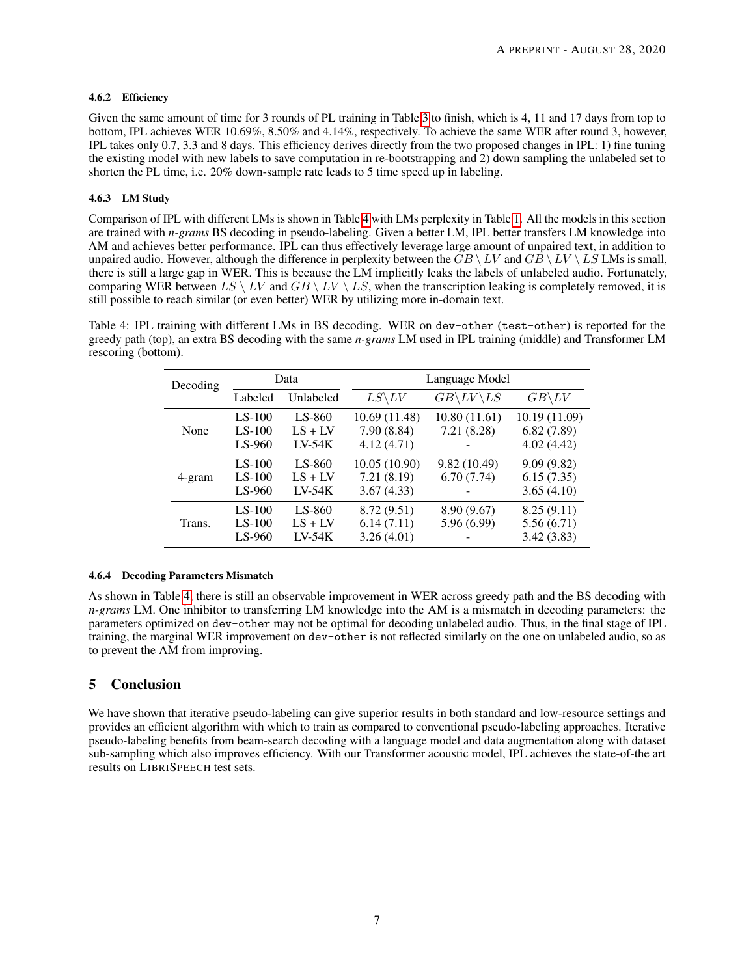## 4.6.2 Efficiency

Given the same amount of time for 3 rounds of PL training in Table [3](#page-5-2) to finish, which is 4, 11 and 17 days from top to bottom, IPL achieves WER 10.69%, 8.50% and 4.14%, respectively. To achieve the same WER after round 3, however, IPL takes only 0.7, 3.3 and 8 days. This efficiency derives directly from the two proposed changes in IPL: 1) fine tuning the existing model with new labels to save computation in re-bootstrapping and 2) down sampling the unlabeled set to shorten the PL time, i.e. 20% down-sample rate leads to 5 time speed up in labeling.

# 4.6.3 LM Study

Comparison of IPL with different LMs is shown in Table [4](#page-6-0) with LMs perplexity in Table [1.](#page-4-0) All the models in this section are trained with *n-grams* BS decoding in pseudo-labeling. Given a better LM, IPL better transfers LM knowledge into AM and achieves better performance. IPL can thus effectively leverage large amount of unpaired text, in addition to unpaired audio. However, although the difference in perplexity between the  $GB \setminus LV$  and  $GB \setminus LV \setminus LS$  LMs is small, there is still a large gap in WER. This is because the LM implicitly leaks the labels of unlabeled audio. Fortunately, comparing WER between  $LS \setminus LV$  and  $GB \setminus LV \setminus LS$ , when the transcription leaking is completely removed, it is still possible to reach similar (or even better) WER by utilizing more in-domain text.

<span id="page-6-0"></span>Table 4: IPL training with different LMs in BS decoding. WER on dev-other (test-other) is reported for the greedy path (top), an extra BS decoding with the same *n-grams* LM used in IPL training (middle) and Transformer LM rescoring (bottom).

| Decoding | Data                             |                                 | Language Model                            |                                 |                                           |  |
|----------|----------------------------------|---------------------------------|-------------------------------------------|---------------------------------|-------------------------------------------|--|
|          | Labeled                          | Unlabeled                       | $LS\backslash LV$                         | $GB\backslash LV\backslash LS$  | $GB \backslash LV$                        |  |
| None     | $LS-100$<br>$LS-100$<br>$LS-960$ | LS-860<br>$LS + LV$<br>$LV-54K$ | 10.69 (11.48)<br>7.90(8.84)<br>4.12(4.71) | 10.80(11.61)<br>7.21(8.28)<br>- | 10.19 (11.09)<br>6.82(7.89)<br>4.02(4.42) |  |
| 4-gram   | $LS-100$<br>$LS-100$<br>$LS-960$ | LS-860<br>$LS + LV$<br>$LV-54K$ | 10.05 (10.90)<br>7.21(8.19)<br>3.67(4.33) | 9.82(10.49)<br>6.70(7.74)       | 9.09(9.82)<br>6.15(7.35)<br>3.65(4.10)    |  |
| Trans.   | $LS-100$<br>$LS-100$<br>$LS-960$ | LS-860<br>$LS + LV$<br>$LV-54K$ | 8.72(9.51)<br>6.14(7.11)<br>3.26(4.01)    | 8.90 (9.67)<br>5.96(6.99)       | 8.25(9.11)<br>5.56(6.71)<br>3.42(3.83)    |  |

## 4.6.4 Decoding Parameters Mismatch

As shown in Table [4,](#page-6-0) there is still an observable improvement in WER across greedy path and the BS decoding with *n-grams* LM. One inhibitor to transferring LM knowledge into the AM is a mismatch in decoding parameters: the parameters optimized on dev-other may not be optimal for decoding unlabeled audio. Thus, in the final stage of IPL training, the marginal WER improvement on dev-other is not reflected similarly on the one on unlabeled audio, so as to prevent the AM from improving.

# 5 Conclusion

We have shown that iterative pseudo-labeling can give superior results in both standard and low-resource settings and provides an efficient algorithm with which to train as compared to conventional pseudo-labeling approaches. Iterative pseudo-labeling benefits from beam-search decoding with a language model and data augmentation along with dataset sub-sampling which also improves efficiency. With our Transformer acoustic model, IPL achieves the state-of-the art results on LIBRISPEECH test sets.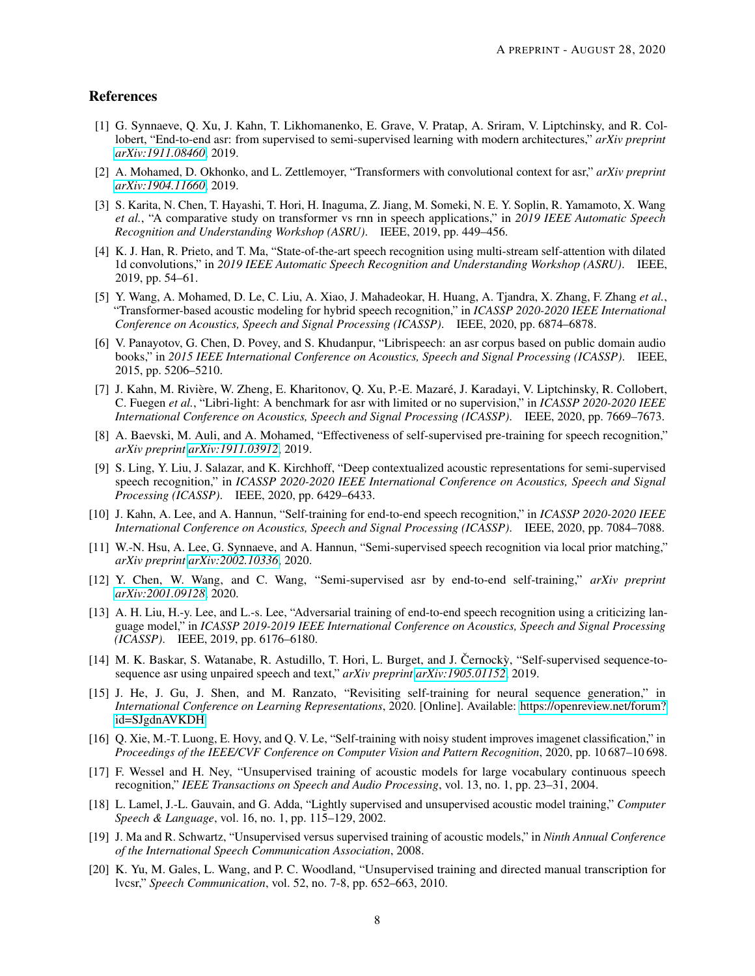# References

- <span id="page-7-0"></span>[1] G. Synnaeve, Q. Xu, J. Kahn, T. Likhomanenko, E. Grave, V. Pratap, A. Sriram, V. Liptchinsky, and R. Collobert, "End-to-end asr: from supervised to semi-supervised learning with modern architectures," *arXiv preprint [arXiv:1911.08460](http://arxiv.org/abs/1911.08460)*, 2019.
- <span id="page-7-1"></span>[2] A. Mohamed, D. Okhonko, and L. Zettlemoyer, "Transformers with convolutional context for asr," *arXiv preprint [arXiv:1904.11660](http://arxiv.org/abs/1904.11660)*, 2019.
- <span id="page-7-2"></span>[3] S. Karita, N. Chen, T. Hayashi, T. Hori, H. Inaguma, Z. Jiang, M. Someki, N. E. Y. Soplin, R. Yamamoto, X. Wang *et al.*, "A comparative study on transformer vs rnn in speech applications," in *2019 IEEE Automatic Speech Recognition and Understanding Workshop (ASRU)*. IEEE, 2019, pp. 449–456.
- <span id="page-7-3"></span>[4] K. J. Han, R. Prieto, and T. Ma, "State-of-the-art speech recognition using multi-stream self-attention with dilated 1d convolutions," in *2019 IEEE Automatic Speech Recognition and Understanding Workshop (ASRU)*. IEEE, 2019, pp. 54–61.
- <span id="page-7-4"></span>[5] Y. Wang, A. Mohamed, D. Le, C. Liu, A. Xiao, J. Mahadeokar, H. Huang, A. Tjandra, X. Zhang, F. Zhang *et al.*, "Transformer-based acoustic modeling for hybrid speech recognition," in *ICASSP 2020-2020 IEEE International Conference on Acoustics, Speech and Signal Processing (ICASSP)*. IEEE, 2020, pp. 6874–6878.
- <span id="page-7-5"></span>[6] V. Panayotov, G. Chen, D. Povey, and S. Khudanpur, "Librispeech: an asr corpus based on public domain audio books," in *2015 IEEE International Conference on Acoustics, Speech and Signal Processing (ICASSP)*. IEEE, 2015, pp. 5206–5210.
- <span id="page-7-6"></span>[7] J. Kahn, M. Rivière, W. Zheng, E. Kharitonov, Q. Xu, P.-E. Mazaré, J. Karadayi, V. Liptchinsky, R. Collobert, C. Fuegen *et al.*, "Libri-light: A benchmark for asr with limited or no supervision," in *ICASSP 2020-2020 IEEE International Conference on Acoustics, Speech and Signal Processing (ICASSP)*. IEEE, 2020, pp. 7669–7673.
- <span id="page-7-7"></span>[8] A. Baevski, M. Auli, and A. Mohamed, "Effectiveness of self-supervised pre-training for speech recognition," *arXiv preprint [arXiv:1911.03912](http://arxiv.org/abs/1911.03912)*, 2019.
- <span id="page-7-8"></span>[9] S. Ling, Y. Liu, J. Salazar, and K. Kirchhoff, "Deep contextualized acoustic representations for semi-supervised speech recognition," in *ICASSP 2020-2020 IEEE International Conference on Acoustics, Speech and Signal Processing (ICASSP)*. IEEE, 2020, pp. 6429–6433.
- <span id="page-7-9"></span>[10] J. Kahn, A. Lee, and A. Hannun, "Self-training for end-to-end speech recognition," in *ICASSP 2020-2020 IEEE International Conference on Acoustics, Speech and Signal Processing (ICASSP)*. IEEE, 2020, pp. 7084–7088.
- <span id="page-7-10"></span>[11] W.-N. Hsu, A. Lee, G. Synnaeve, and A. Hannun, "Semi-supervised speech recognition via local prior matching," *arXiv preprint [arXiv:2002.10336](http://arxiv.org/abs/2002.10336)*, 2020.
- <span id="page-7-11"></span>[12] Y. Chen, W. Wang, and C. Wang, "Semi-supervised asr by end-to-end self-training," *arXiv preprint [arXiv:2001.09128](http://arxiv.org/abs/2001.09128)*, 2020.
- <span id="page-7-12"></span>[13] A. H. Liu, H.-y. Lee, and L.-s. Lee, "Adversarial training of end-to-end speech recognition using a criticizing language model," in *ICASSP 2019-2019 IEEE International Conference on Acoustics, Speech and Signal Processing (ICASSP)*. IEEE, 2019, pp. 6176–6180.
- <span id="page-7-13"></span> $[14]$  M. K. Baskar, S. Watanabe, R. Astudillo, T. Hori, L. Burget, and J. Cernocky, "Self-supervised sequence-tosequence asr using unpaired speech and text," *arXiv preprint [arXiv:1905.01152](http://arxiv.org/abs/1905.01152)*, 2019.
- <span id="page-7-14"></span>[15] J. He, J. Gu, J. Shen, and M. Ranzato, "Revisiting self-training for neural sequence generation," in *International Conference on Learning Representations*, 2020. [Online]. Available: [https://openreview.net/forum?](https://openreview.net/forum?id=SJgdnAVKDH) [id=SJgdnAVKDH](https://openreview.net/forum?id=SJgdnAVKDH)
- <span id="page-7-15"></span>[16] Q. Xie, M.-T. Luong, E. Hovy, and Q. V. Le, "Self-training with noisy student improves imagenet classification," in *Proceedings of the IEEE/CVF Conference on Computer Vision and Pattern Recognition*, 2020, pp. 10 687–10 698.
- <span id="page-7-16"></span>[17] F. Wessel and H. Ney, "Unsupervised training of acoustic models for large vocabulary continuous speech recognition," *IEEE Transactions on Speech and Audio Processing*, vol. 13, no. 1, pp. 23–31, 2004.
- <span id="page-7-17"></span>[18] L. Lamel, J.-L. Gauvain, and G. Adda, "Lightly supervised and unsupervised acoustic model training," *Computer Speech & Language*, vol. 16, no. 1, pp. 115–129, 2002.
- <span id="page-7-18"></span>[19] J. Ma and R. Schwartz, "Unsupervised versus supervised training of acoustic models," in *Ninth Annual Conference of the International Speech Communication Association*, 2008.
- <span id="page-7-19"></span>[20] K. Yu, M. Gales, L. Wang, and P. C. Woodland, "Unsupervised training and directed manual transcription for lvcsr," *Speech Communication*, vol. 52, no. 7-8, pp. 652–663, 2010.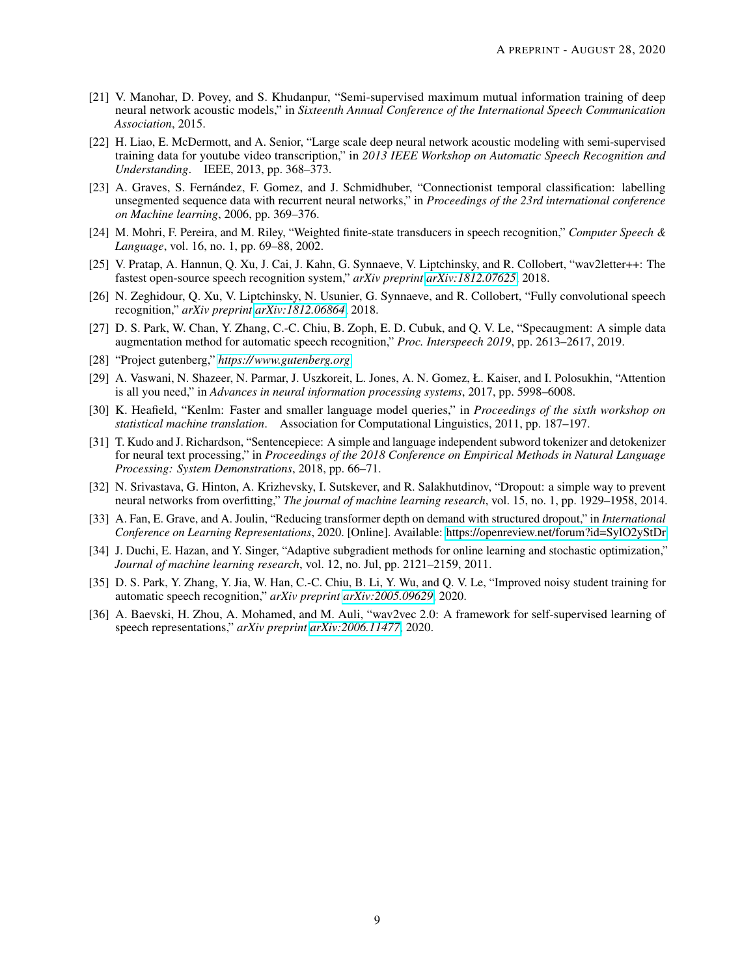- <span id="page-8-0"></span>[21] V. Manohar, D. Povey, and S. Khudanpur, "Semi-supervised maximum mutual information training of deep neural network acoustic models," in *Sixteenth Annual Conference of the International Speech Communication Association*, 2015.
- <span id="page-8-1"></span>[22] H. Liao, E. McDermott, and A. Senior, "Large scale deep neural network acoustic modeling with semi-supervised training data for youtube video transcription," in *2013 IEEE Workshop on Automatic Speech Recognition and Understanding*. IEEE, 2013, pp. 368–373.
- <span id="page-8-2"></span>[23] A. Graves, S. Fernández, F. Gomez, and J. Schmidhuber, "Connectionist temporal classification: labelling unsegmented sequence data with recurrent neural networks," in *Proceedings of the 23rd international conference on Machine learning*, 2006, pp. 369–376.
- <span id="page-8-3"></span>[24] M. Mohri, F. Pereira, and M. Riley, "Weighted finite-state transducers in speech recognition," *Computer Speech & Language*, vol. 16, no. 1, pp. 69–88, 2002.
- <span id="page-8-4"></span>[25] V. Pratap, A. Hannun, Q. Xu, J. Cai, J. Kahn, G. Synnaeve, V. Liptchinsky, and R. Collobert, "wav2letter++: The fastest open-source speech recognition system," *arXiv preprint [arXiv:1812.07625](http://arxiv.org/abs/1812.07625)*, 2018.
- <span id="page-8-5"></span>[26] N. Zeghidour, Q. Xu, V. Liptchinsky, N. Usunier, G. Synnaeve, and R. Collobert, "Fully convolutional speech recognition," *arXiv preprint [arXiv:1812.06864](http://arxiv.org/abs/1812.06864)*, 2018.
- <span id="page-8-6"></span>[27] D. S. Park, W. Chan, Y. Zhang, C.-C. Chiu, B. Zoph, E. D. Cubuk, and Q. V. Le, "Specaugment: A simple data augmentation method for automatic speech recognition," *Proc. Interspeech 2019*, pp. 2613–2617, 2019.
- <span id="page-8-7"></span>[28] "Project gutenberg," *<https://www.gutenberg.org>*.
- <span id="page-8-8"></span>[29] A. Vaswani, N. Shazeer, N. Parmar, J. Uszkoreit, L. Jones, A. N. Gomez, Ł. Kaiser, and I. Polosukhin, "Attention is all you need," in *Advances in neural information processing systems*, 2017, pp. 5998–6008.
- <span id="page-8-9"></span>[30] K. Heafield, "Kenlm: Faster and smaller language model queries," in *Proceedings of the sixth workshop on statistical machine translation*. Association for Computational Linguistics, 2011, pp. 187–197.
- <span id="page-8-10"></span>[31] T. Kudo and J. Richardson, "Sentencepiece: A simple and language independent subword tokenizer and detokenizer for neural text processing," in *Proceedings of the 2018 Conference on Empirical Methods in Natural Language Processing: System Demonstrations*, 2018, pp. 66–71.
- <span id="page-8-11"></span>[32] N. Srivastava, G. Hinton, A. Krizhevsky, I. Sutskever, and R. Salakhutdinov, "Dropout: a simple way to prevent neural networks from overfitting," *The journal of machine learning research*, vol. 15, no. 1, pp. 1929–1958, 2014.
- <span id="page-8-12"></span>[33] A. Fan, E. Grave, and A. Joulin, "Reducing transformer depth on demand with structured dropout," in *International Conference on Learning Representations*, 2020. [Online]. Available:<https://openreview.net/forum?id=SylO2yStDr>
- <span id="page-8-13"></span>[34] J. Duchi, E. Hazan, and Y. Singer, "Adaptive subgradient methods for online learning and stochastic optimization," *Journal of machine learning research*, vol. 12, no. Jul, pp. 2121–2159, 2011.
- <span id="page-8-14"></span>[35] D. S. Park, Y. Zhang, Y. Jia, W. Han, C.-C. Chiu, B. Li, Y. Wu, and Q. V. Le, "Improved noisy student training for automatic speech recognition," *arXiv preprint [arXiv:2005.09629](http://arxiv.org/abs/2005.09629)*, 2020.
- <span id="page-8-15"></span>[36] A. Baevski, H. Zhou, A. Mohamed, and M. Auli, "wav2vec 2.0: A framework for self-supervised learning of speech representations," *arXiv preprint [arXiv:2006.11477](http://arxiv.org/abs/2006.11477)*, 2020.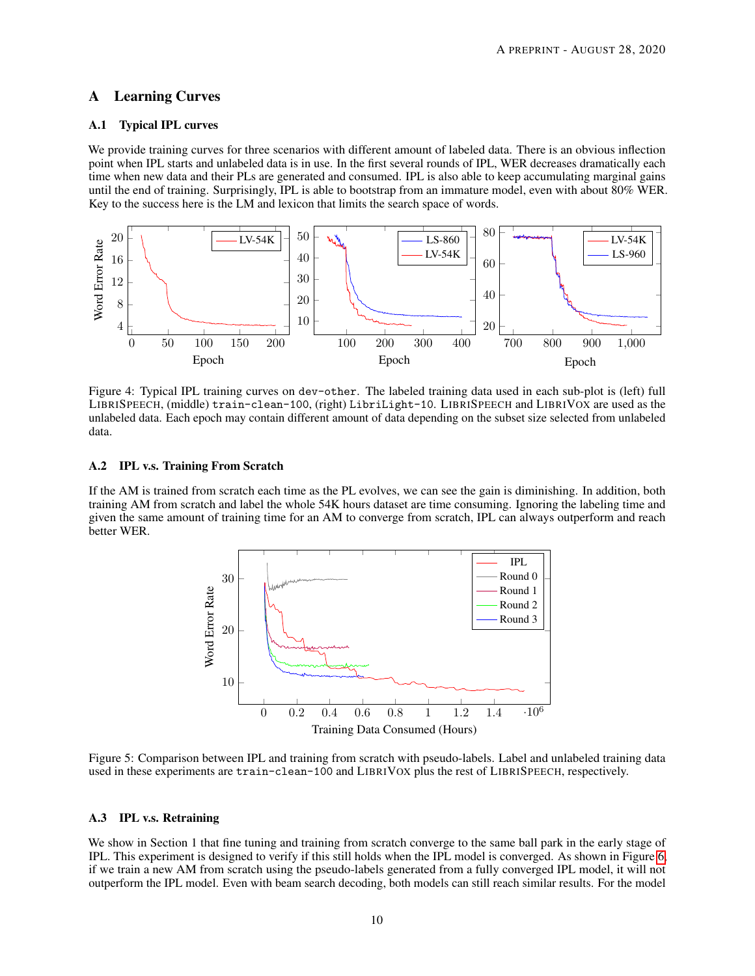# A Learning Curves

#### A.1 Typical IPL curves

We provide training curves for three scenarios with different amount of labeled data. There is an obvious inflection point when IPL starts and unlabeled data is in use. In the first several rounds of IPL, WER decreases dramatically each time when new data and their PLs are generated and consumed. IPL is also able to keep accumulating marginal gains until the end of training. Surprisingly, IPL is able to bootstrap from an immature model, even with about 80% WER. Key to the success here is the LM and lexicon that limits the search space of words.



Figure 4: Typical IPL training curves on dev-other. The labeled training data used in each sub-plot is (left) full LIBRISPEECH, (middle) train-clean-100, (right) LibriLight-10. LIBRISPEECH and LIBRIVOX are used as the unlabeled data. Each epoch may contain different amount of data depending on the subset size selected from unlabeled data.

## A.2 IPL v.s. Training From Scratch

If the AM is trained from scratch each time as the PL evolves, we can see the gain is diminishing. In addition, both training AM from scratch and label the whole 54K hours dataset are time consuming. Ignoring the labeling time and given the same amount of training time for an AM to converge from scratch, IPL can always outperform and reach better WER.



Figure 5: Comparison between IPL and training from scratch with pseudo-labels. Label and unlabeled training data used in these experiments are train-clean-100 and LIBRIVOX plus the rest of LIBRISPEECH, respectively.

#### A.3 IPL v.s. Retraining

We show in Section 1 that fine tuning and training from scratch converge to the same ball park in the early stage of IPL. This experiment is designed to verify if this still holds when the IPL model is converged. As shown in Figure [6,](#page-10-1) if we train a new AM from scratch using the pseudo-labels generated from a fully converged IPL model, it will not outperform the IPL model. Even with beam search decoding, both models can still reach similar results. For the model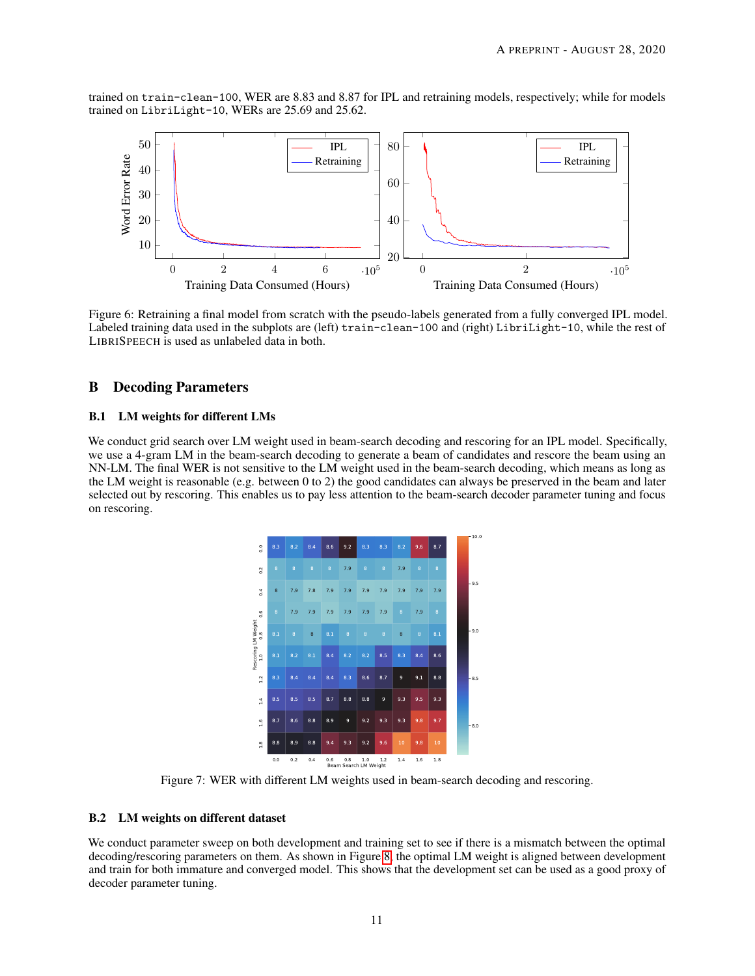trained on train-clean-100, WER are 8.83 and 8.87 for IPL and retraining models, respectively; while for models trained on LibriLight-10, WERs are 25.69 and 25.62.



<span id="page-10-1"></span>Figure 6: Retraining a final model from scratch with the pseudo-labels generated from a fully converged IPL model. Labeled training data used in the subplots are (left) train-clean-100 and (right) LibriLight-10, while the rest of LIBRISPEECH is used as unlabeled data in both.

# B Decoding Parameters

#### B.1 LM weights for different LMs

We conduct grid search over LM weight used in beam-search decoding and rescoring for an IPL model. Specifically, we use a 4-gram LM in the beam-search decoding to generate a beam of candidates and rescore the beam using an NN-LM. The final WER is not sensitive to the LM weight used in the beam-search decoding, which means as long as the LM weight is reasonable (e.g. between 0 to 2) the good candidates can always be preserved in the beam and later selected out by rescoring. This enables us to pay less attention to the beam-search decoder parameter tuning and focus on rescoring.



<span id="page-10-0"></span>Figure 7: WER with different LM weights used in beam-search decoding and rescoring.

#### B.2 LM weights on different dataset

We conduct parameter sweep on both development and training set to see if there is a mismatch between the optimal decoding/rescoring parameters on them. As shown in Figure [8,](#page-11-0) the optimal LM weight is aligned between development and train for both immature and converged model. This shows that the development set can be used as a good proxy of decoder parameter tuning.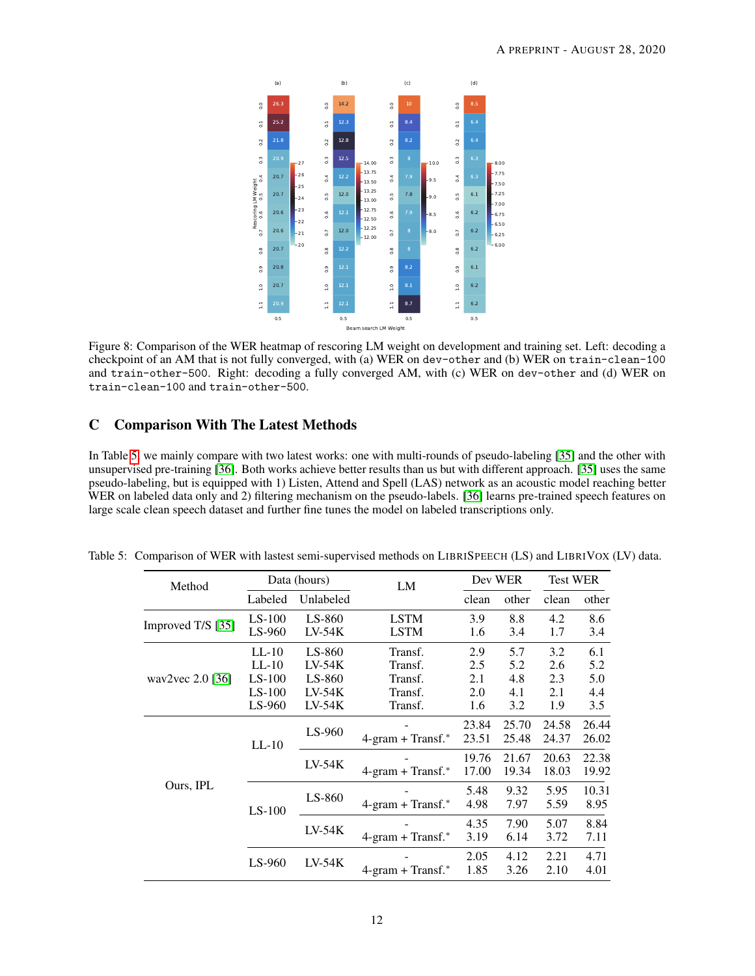

<span id="page-11-0"></span>Figure 8: Comparison of the WER heatmap of rescoring LM weight on development and training set. Left: decoding a checkpoint of an AM that is not fully converged, with (a) WER on dev-other and (b) WER on train-clean-100 and train-other-500. Right: decoding a fully converged AM, with (c) WER on dev-other and (d) WER on train-clean-100 and train-other-500.

# C Comparison With The Latest Methods

In Table [5,](#page-11-1) we mainly compare with two latest works: one with multi-rounds of pseudo-labeling [\[35\]](#page-8-14) and the other with unsupervised pre-training [\[36\]](#page-8-15). Both works achieve better results than us but with different approach. [\[35\]](#page-8-14) uses the same pseudo-labeling, but is equipped with 1) Listen, Attend and Spell (LAS) network as an acoustic model reaching better WER on labeled data only and 2) filtering mechanism on the pseudo-labels. [\[36\]](#page-8-15) learns pre-trained speech features on large scale clean speech dataset and further fine tunes the model on labeled transcriptions only.

<span id="page-11-1"></span>

| Method             | Data (hours)         |                      | LM                                 | Dev WER        |                | <b>Test WER</b> |                |
|--------------------|----------------------|----------------------|------------------------------------|----------------|----------------|-----------------|----------------|
|                    | Labeled              | Unlabeled            |                                    | clean          | other          | clean           | other          |
| Improved T/S [35]  | $LS-100$<br>LS-960   | $LS-860$<br>$LV-54K$ | <b>LSTM</b><br><b>LSTM</b>         | 3.9<br>1.6     | 8.8<br>3.4     | 4.2<br>1.7      | 8.6<br>3.4     |
|                    | $LL-10$              | LS-860               | Transf.                            | 2.9            | 5.7            | 3.2             | 6.1            |
|                    | $LL-10$              | $LV-54K$             | Transf.                            | 2.5            | 5.2            | 2.6             | 5.2            |
| wav2vec $2.0$ [36] | $LS-100$<br>$LS-100$ | $LS-860$<br>$LV-54K$ | Transf.<br>Transf.                 | 2.1<br>2.0     | 4.8<br>4.1     | 2.3<br>2.1      | 5.0<br>4.4     |
|                    | $LS-960$             | $LV-54K$             | Transf.                            | 1.6            | 3.2            | 1.9             | 3.5            |
|                    | $LL-10$              | $LS-960$             | $4\text{-gram} + \text{Transf.}^*$ | 23.84<br>23.51 | 25.70<br>25.48 | 24.58<br>24.37  | 26.44<br>26.02 |
|                    |                      | $LV-54K$             | $4\text{-gram} + \text{Transf.}^*$ | 19.76<br>17.00 | 21.67<br>19.34 | 20.63<br>18.03  | 22.38<br>19.92 |
| Ours, IPL          | $LS-100$             | LS-860               | $4\text{-gram} + \text{Transf.}^*$ | 5.48<br>4.98   | 9.32<br>7.97   | 5.95<br>5.59    | 10.31<br>8.95  |
|                    |                      | $LV-54K$             | $4\text{-gram} + \text{Transf.}^*$ | 4.35<br>3.19   | 7.90<br>6.14   | 5.07<br>3.72    | 8.84<br>7.11   |
|                    | $LS-960$             | $LV-54K$             | $4\text{-gram} + \text{Transf.}^*$ | 2.05<br>1.85   | 4.12<br>3.26   | 2.21<br>2.10    | 4.71<br>4.01   |

Table 5: Comparison of WER with lastest semi-supervised methods on LIBRISPEECH (LS) and LIBRIVOX (LV) data.